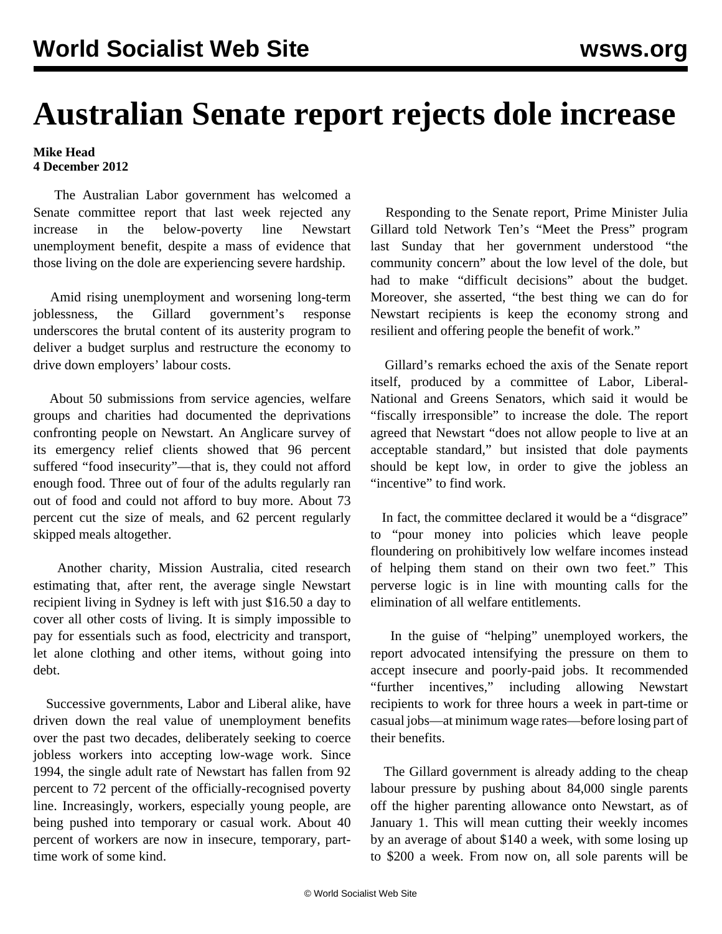## **Australian Senate report rejects dole increase**

## **Mike Head 4 December 2012**

 The Australian Labor government has welcomed a Senate committee report that last week rejected any increase in the below-poverty line Newstart unemployment benefit, despite a mass of evidence that those living on the dole are experiencing severe hardship.

 Amid rising unemployment and worsening long-term joblessness, the Gillard government's response underscores the brutal content of its austerity program to deliver a budget surplus and restructure the economy to drive down employers' labour costs.

 About 50 submissions from service agencies, welfare groups and charities had documented the deprivations confronting people on Newstart. An Anglicare survey of its emergency relief clients showed that 96 percent suffered "food insecurity"—that is, they could not afford enough food. Three out of four of the adults regularly ran out of food and could not afford to buy more. About 73 percent cut the size of meals, and 62 percent regularly skipped meals altogether.

 Another charity, Mission Australia, cited research estimating that, after rent, the average single Newstart recipient living in Sydney is left with just \$16.50 a day to cover all other costs of living. It is simply impossible to pay for essentials such as food, electricity and transport, let alone clothing and other items, without going into debt.

 Successive governments, Labor and Liberal alike, have driven down the real value of unemployment benefits over the past two decades, deliberately seeking to coerce jobless workers into accepting low-wage work. Since 1994, the single adult rate of Newstart has fallen from 92 percent to 72 percent of the officially-recognised poverty line. Increasingly, workers, especially young people, are being pushed into temporary or casual work. About 40 percent of workers are now in insecure, temporary, parttime work of some kind.

 Responding to the Senate report, Prime Minister Julia Gillard told Network Ten's "Meet the Press" program last Sunday that her government understood "the community concern" about the low level of the dole, but had to make "difficult decisions" about the budget. Moreover, she asserted, "the best thing we can do for Newstart recipients is keep the economy strong and resilient and offering people the benefit of work."

 Gillard's remarks echoed the axis of the Senate report itself, produced by a committee of Labor, Liberal-National and Greens Senators, which said it would be "fiscally irresponsible" to increase the dole. The report agreed that Newstart "does not allow people to live at an acceptable standard," but insisted that dole payments should be kept low, in order to give the jobless an "incentive" to find work.

 In fact, the committee declared it would be a "disgrace" to "pour money into policies which leave people floundering on prohibitively low welfare incomes instead of helping them stand on their own two feet." This perverse logic is in line with mounting calls for the elimination of all welfare entitlements.

 In the guise of "helping" unemployed workers, the report advocated intensifying the pressure on them to accept insecure and poorly-paid jobs. It recommended "further incentives," including allowing Newstart recipients to work for three hours a week in part-time or casual jobs—at minimum wage rates—before losing part of their benefits.

 The Gillard government is already adding to the cheap labour pressure by pushing about 84,000 single parents off the higher parenting allowance onto Newstart, as of January 1. This will mean cutting their weekly incomes by an average of about \$140 a week, with some losing up to \$200 a week. From now on, all sole parents will be